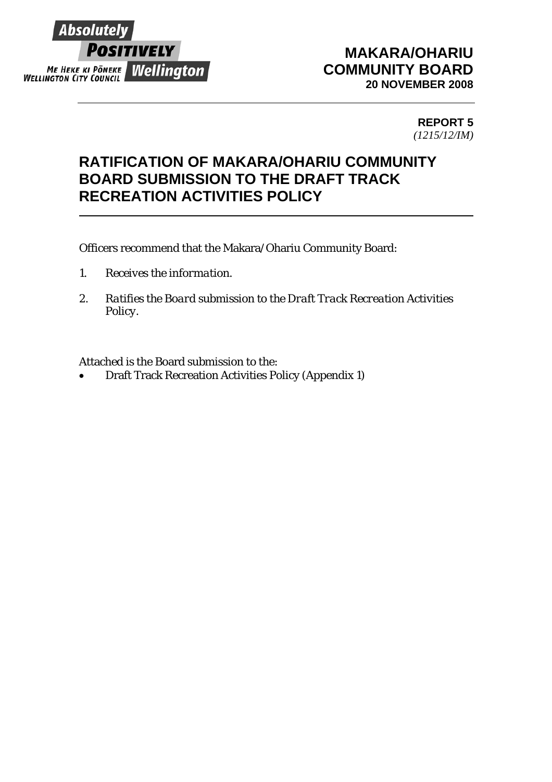

## **MAKARA/OHARIU COMMUNITY BOARD 20 NOVEMBER 2008**

### **REPORT 5**  *(1215/12/IM)*

## **RATIFICATION OF MAKARA/OHARIU COMMUNITY BOARD SUBMISSION TO THE DRAFT TRACK RECREATION ACTIVITIES POLICY**

Officers recommend that the Makara/Ohariu Community Board:

- *1. Receives the information.*
- *2. Ratifies the Board submission to the Draft Track Recreation Activities Policy.*

Attached is the Board submission to the:

• Draft Track Recreation Activities Policy (Appendix 1)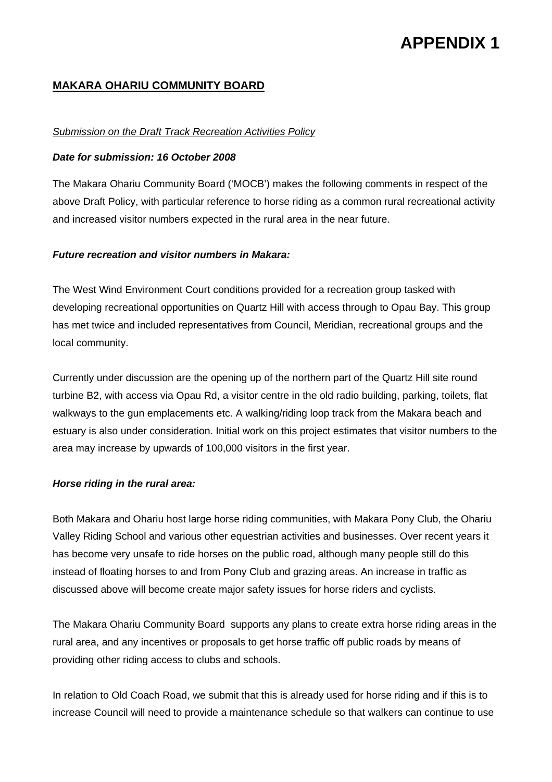# **APPENDIX 1**

### **MAKARA OHARIU COMMUNITY BOARD**

#### *Submission on the Draft Track Recreation Activities Policy*

#### *Date for submission: 16 October 2008*

The Makara Ohariu Community Board ('MOCB') makes the following comments in respect of the above Draft Policy, with particular reference to horse riding as a common rural recreational activity and increased visitor numbers expected in the rural area in the near future.

#### *Future recreation and visitor numbers in Makara:*

The West Wind Environment Court conditions provided for a recreation group tasked with developing recreational opportunities on Quartz Hill with access through to Opau Bay. This group has met twice and included representatives from Council, Meridian, recreational groups and the local community.

Currently under discussion are the opening up of the northern part of the Quartz Hill site round turbine B2, with access via Opau Rd, a visitor centre in the old radio building, parking, toilets, flat walkways to the gun emplacements etc. A walking/riding loop track from the Makara beach and estuary is also under consideration. Initial work on this project estimates that visitor numbers to the area may increase by upwards of 100,000 visitors in the first year.

#### *Horse riding in the rural area:*

Both Makara and Ohariu host large horse riding communities, with Makara Pony Club, the Ohariu Valley Riding School and various other equestrian activities and businesses. Over recent years it has become very unsafe to ride horses on the public road, although many people still do this instead of floating horses to and from Pony Club and grazing areas. An increase in traffic as discussed above will become create major safety issues for horse riders and cyclists.

The Makara Ohariu Community Board supports any plans to create extra horse riding areas in the rural area, and any incentives or proposals to get horse traffic off public roads by means of providing other riding access to clubs and schools.

In relation to Old Coach Road, we submit that this is already used for horse riding and if this is to increase Council will need to provide a maintenance schedule so that walkers can continue to use